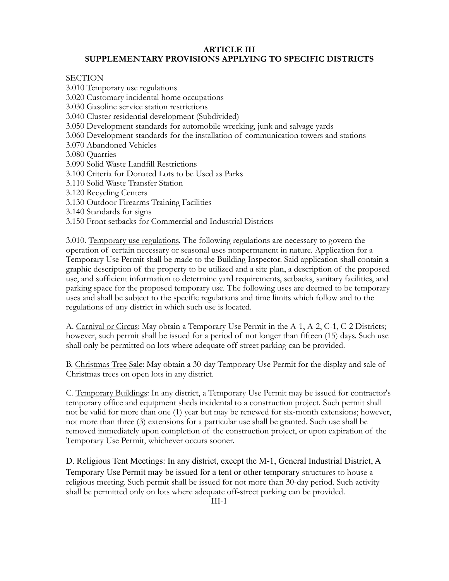# **ARTICLE III**

# **SUPPLEMENTARY PROVISIONS APPLYING TO SPECIFIC DISTRICTS**

**SECTION** 

3.010 Temporary use regulations 3.020 Customary incidental home occupations 3.030 Gasoline service station restrictions 3.040 Cluster residential development (Subdivided) 3.050 Development standards for automobile wrecking, junk and salvage yards 3.060 Development standards for the installation of communication towers and stations 3.070 Abandoned Vehicles 3.080 Quarries 3.090 Solid Waste Landfill Restrictions 3.100 Criteria for Donated Lots to be Used as Parks 3.110 Solid Waste Transfer Station 3.120 Recycling Centers 3.130 Outdoor Firearms Training Facilities 3.140 Standards for signs 3.150 Front setbacks for Commercial and Industrial Districts

3.010. Temporary use regulations. The following regulations are necessary to govern the operation of certain necessary or seasonal uses nonpermanent in nature. Application for a Temporary Use Permit shall be made to the Building Inspector. Said application shall contain a graphic description of the property to be utilized and a site plan, a description of the proposed use, and sufficient information to determine yard requirements, setbacks, sanitary facilities, and parking space for the proposed temporary use. The following uses are deemed to be temporary uses and shall be subject to the specific regulations and time limits which follow and to the regulations of any district in which such use is located.

A. Carnival or Circus: May obtain a Temporary Use Permit in the A-1, A-2, C-1, C-2 Districts; however, such permit shall be issued for a period of not longer than fifteen (15) days. Such use shall only be permitted on lots where adequate off-street parking can be provided.

B. Christmas Tree Sale: May obtain a 30-day Temporary Use Permit for the display and sale of Christmas trees on open lots in any district.

C. Temporary Buildings: In any district, a Temporary Use Permit may be issued for contractor's temporary office and equipment sheds incidental to a construction project. Such permit shall not be valid for more than one (1) year but may be renewed for six-month extensions; however, not more than three (3) extensions for a particular use shall be granted. Such use shall be removed immediately upon completion of the construction project, or upon expiration of the Temporary Use Permit, whichever occurs sooner.

D. Religious Tent Meetings: In any district, except the M-1, General Industrial District, A Temporary Use Permit may be issued for a tent or other temporary structures to house a religious meeting. Such permit shall be issued for not more than 30-day period. Such activity shall be permitted only on lots where adequate off-street parking can be provided.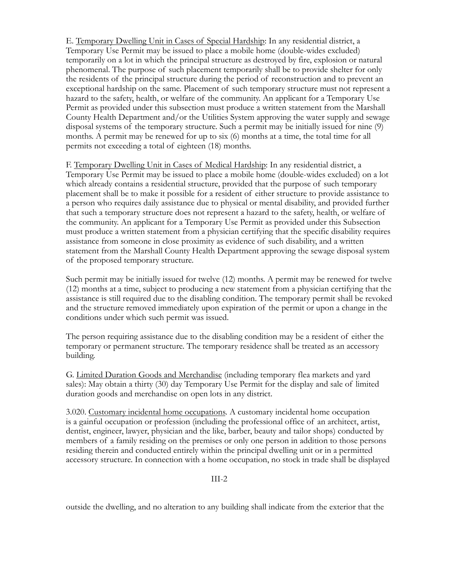E. Temporary Dwelling Unit in Cases of Special Hardship: In any residential district, a Temporary Use Permit may be issued to place a mobile home (double-wides excluded) temporarily on a lot in which the principal structure as destroyed by fire, explosion or natural phenomenal. The purpose of such placement temporarily shall be to provide shelter for only the residents of the principal structure during the period of reconstruction and to prevent an exceptional hardship on the same. Placement of such temporary structure must not represent a hazard to the safety, health, or welfare of the community. An applicant for a Temporary Use Permit as provided under this subsection must produce a written statement from the Marshall County Health Department and/or the Utilities System approving the water supply and sewage disposal systems of the temporary structure. Such a permit may be initially issued for nine (9) months. A permit may be renewed for up to six (6) months at a time, the total time for all permits not exceeding a total of eighteen (18) months.

F. Temporary Dwelling Unit in Cases of Medical Hardship: In any residential district, a Temporary Use Permit may be issued to place a mobile home (double-wides excluded) on a lot which already contains a residential structure, provided that the purpose of such temporary placement shall be to make it possible for a resident of either structure to provide assistance to a person who requires daily assistance due to physical or mental disability, and provided further that such a temporary structure does not represent a hazard to the safety, health, or welfare of the community. An applicant for a Temporary Use Permit as provided under this Subsection must produce a written statement from a physician certifying that the specific disability requires assistance from someone in close proximity as evidence of such disability, and a written statement from the Marshall County Health Department approving the sewage disposal system of the proposed temporary structure.

Such permit may be initially issued for twelve (12) months. A permit may be renewed for twelve (12) months at a time, subject to producing a new statement from a physician certifying that the assistance is still required due to the disabling condition. The temporary permit shall be revoked and the structure removed immediately upon expiration of the permit or upon a change in the conditions under which such permit was issued.

The person requiring assistance due to the disabling condition may be a resident of either the temporary or permanent structure. The temporary residence shall be treated as an accessory building.

G. Limited Duration Goods and Merchandise (including temporary flea markets and yard sales): May obtain a thirty (30) day Temporary Use Permit for the display and sale of limited duration goods and merchandise on open lots in any district.

3.020. Customary incidental home occupations. A customary incidental home occupation is a gainful occupation or profession (including the professional office of an architect, artist, dentist, engineer, lawyer, physician and the like, barber, beauty and tailor shops) conducted by members of a family residing on the premises or only one person in addition to those persons residing therein and conducted entirely within the principal dwelling unit or in a permitted accessory structure. In connection with a home occupation, no stock in trade shall be displayed

III-2

outside the dwelling, and no alteration to any building shall indicate from the exterior that the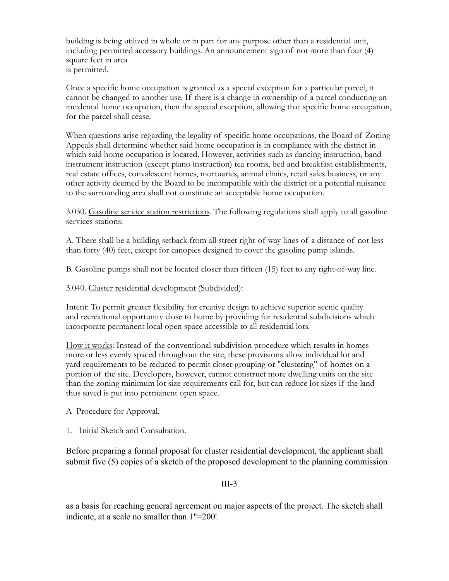building is being utilized in whole or in part for any purpose other than a residential unit, including permitted accessory buildings. An announcement sign of not more than four (4) square feet in area is permitted.

Once a specific home occupation is granted as a special exception for a particular parcel, it cannot be changed to another use. If there is a change in ownership of a parcel conducting an incidental home occupation, then the special exception, allowing that specific home occupation, for the parcel shall cease.

When questions arise regarding the legality of specific home occupations, the Board of Zoning Appeals shall determine whether said home occupation is in compliance with the district in which said home occupation is located. However, activities such as dancing instruction, band instrument instruction (except piano instruction) tea rooms, bed and breakfast establishments, real estate offices, convalescent homes, mortuaries, animal clinics, retail sales business, or any other activity deemed by the Board to be incompatible with the district or a potential nuisance to the surrounding area shall not constitute an acceptable home occupation.

3.030. Gasoline service station restrictions. The following regulations shall apply to all gasoline services stations:

A. There shall be a building setback from all street right-of-way lines of a distance of not less than forty (40) feet, except for canopies designed to cover the gasoline pump islands.

B. Gasoline pumps shall not be located closer than fifteen (15) feet to any right-of-way line.

#### 3.040. Cluster residential development (Subdivided):

Intent: To permit greater flexibility for creative design to achieve superior scenic quality and recreational opportunity close to home by providing for residential subdivisions which incorporate permanent local open space accessible to all residential lots.

How it works: Instead of the conventional subdivision procedure which results in homes more or less evenly spaced throughout the site, these provisions allow individual lot and yard requirements to be reduced to permit closer grouping or "clustering" of homes on a portion of the site. Developers, however, cannot construct more dwelling units on the site than the zoning minimum lot size requirements call for, but can reduce lot sizes if the land thus saved is put into permanent open space.

#### A Procedure for Approval.

#### 1. Initial Sketch and Consultation.

Before preparing a formal proposal for cluster residential development, the applicant shall submit five (5) copies of a sketch of the proposed development to the planning commission

III-3

as a basis for reaching general agreement on major aspects of the project. The sketch shall indicate, at a scale no smaller than 1"=200'.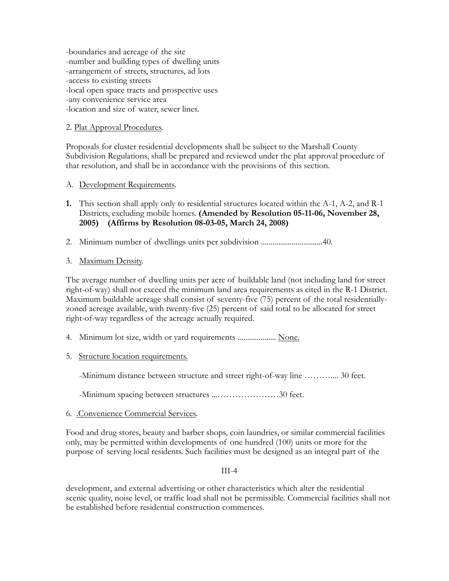-boundaries and acreage of the site -number and building types of dwelling units -arrangement of streets, structures, ad lots -access to existing streets -local open space tracts and prospective uses -any convenience service area -location and size of water, sewer lines.

### 2. Plat Approval Procedures.

Proposals for cluster residential developments shall be subject to the Marshall County Subdivision Regulations, shall be prepared and reviewed under the plat approval procedure of that resolution, and shall be in accordance with the provisions of this section.

- A. Development Requirements.
- **1.** This section shall apply only to residential structures located within the A-1, A-2, and R-1 Districts, excluding mobile homes. **(Amended by Resolution 05-11-06, November 28, 2005) (Affirms by Resolution 08-03-05, March 24, 2008)**
- 2. Minimum number of dwellings units per subdivision ................................40.
- 3. Maximum Density.

The average number of dwelling units per acre of buildable land (not including land for street right-of-way) shall not exceed the minimum land area requirements as cited in the R-1 District. Maximum buildable acreage shall consist of seventy-five (75) percent of the total residentiallyzoned acreage available, with twenty-five (25) percent of said total to be allocated for street right-of-way regardless of the acreage actually required.

- 4. Minimum lot size, width or yard requirements ..................... None.
- 5. Structure location requirements.

-Minimum distance between structure and street right-of-way line ……….... 30 feet.

- -Minimum spacing between structures ...…………………30 feet.
- 6. .Convenience Commercial Services.

Food and drug stores, beauty and barber shops, coin laundries, or similar commercial facilities only, may be permitted within developments of one hundred (100) units or more for the purpose of serving local residents. Such facilities must be designed as an integral part of the

## III-4

development, and external advertising or other characteristics which alter the residential scenic quality, noise level, or traffic load shall not be permissible. Commercial facilities shall not be established before residential construction commences.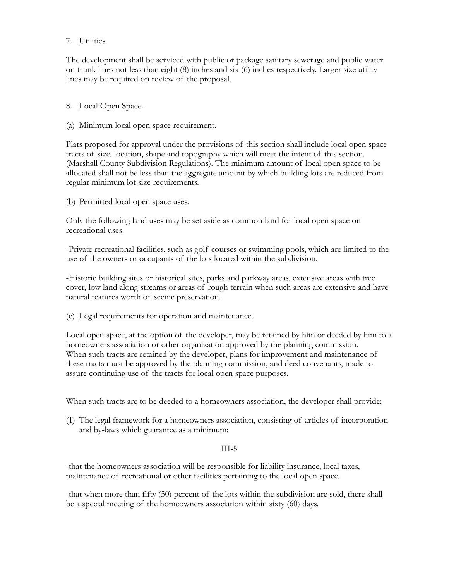### 7. Utilities.

The development shall be serviced with public or package sanitary sewerage and public water on trunk lines not less than eight (8) inches and six (6) inches respectively. Larger size utility lines may be required on review of the proposal.

#### 8. Local Open Space.

#### (a) Minimum local open space requirement.

Plats proposed for approval under the provisions of this section shall include local open space tracts of size, location, shape and topography which will meet the intent of this section. (Marshall County Subdivision Regulations). The minimum amount of local open space to be allocated shall not be less than the aggregate amount by which building lots are reduced from regular minimum lot size requirements.

#### (b) Permitted local open space uses.

Only the following land uses may be set aside as common land for local open space on recreational uses:

-Private recreational facilities, such as golf courses or swimming pools, which are limited to the use of the owners or occupants of the lots located within the subdivision.

-Historic building sites or historical sites, parks and parkway areas, extensive areas with tree cover, low land along streams or areas of rough terrain when such areas are extensive and have natural features worth of scenic preservation.

#### (c) Legal requirements for operation and maintenance.

Local open space, at the option of the developer, may be retained by him or deeded by him to a homeowners association or other organization approved by the planning commission. When such tracts are retained by the developer, plans for improvement and maintenance of these tracts must be approved by the planning commission, and deed convenants, made to assure continuing use of the tracts for local open space purposes.

When such tracts are to be deeded to a homeowners association, the developer shall provide:

(1) The legal framework for a homeowners association, consisting of articles of incorporation and by-laws which guarantee as a minimum:

#### III-5

-that the homeowners association will be responsible for liability insurance, local taxes, maintenance of recreational or other facilities pertaining to the local open space.

-that when more than fifty (50) percent of the lots within the subdivision are sold, there shall be a special meeting of the homeowners association within sixty (60) days.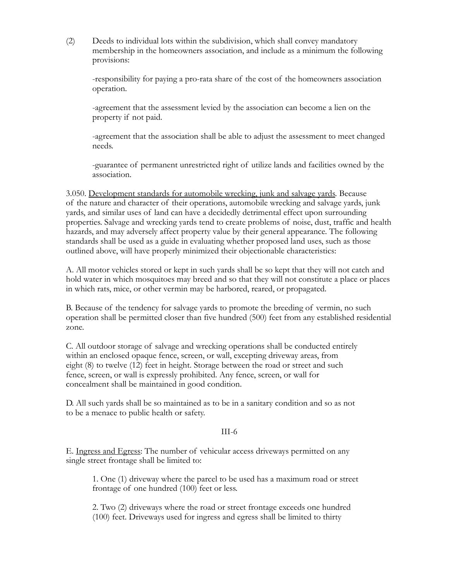(2) Deeds to individual lots within the subdivision, which shall convey mandatory membership in the homeowners association, and include as a minimum the following provisions:

-responsibility for paying a pro-rata share of the cost of the homeowners association operation.

-agreement that the assessment levied by the association can become a lien on the property if not paid.

-agreement that the association shall be able to adjust the assessment to meet changed needs.

-guarantee of permanent unrestricted right of utilize lands and facilities owned by the association.

3.050. Development standards for automobile wrecking, junk and salvage yards. Because of the nature and character of their operations, automobile wrecking and salvage yards, junk yards, and similar uses of land can have a decidedly detrimental effect upon surrounding properties. Salvage and wrecking yards tend to create problems of noise, dust, traffic and health hazards, and may adversely affect property value by their general appearance. The following standards shall be used as a guide in evaluating whether proposed land uses, such as those outlined above, will have properly minimized their objectionable characteristics:

A. All motor vehicles stored or kept in such yards shall be so kept that they will not catch and hold water in which mosquitoes may breed and so that they will not constitute a place or places in which rats, mice, or other vermin may be harbored, reared, or propagated.

B. Because of the tendency for salvage yards to promote the breeding of vermin, no such operation shall be permitted closer than five hundred (500) feet from any established residential zone.

C. All outdoor storage of salvage and wrecking operations shall be conducted entirely within an enclosed opaque fence, screen, or wall, excepting driveway areas, from eight (8) to twelve (12) feet in height. Storage between the road or street and such fence, screen, or wall is expressly prohibited. Any fence, screen, or wall for concealment shall be maintained in good condition.

D. All such yards shall be so maintained as to be in a sanitary condition and so as not to be a menace to public health or safety.

#### III-6

E. Ingress and Egress: The number of vehicular access driveways permitted on any single street frontage shall be limited to:

1. One (1) driveway where the parcel to be used has a maximum road or street frontage of one hundred (100) feet or less.

2. Two (2) driveways where the road or street frontage exceeds one hundred (100) feet. Driveways used for ingress and egress shall be limited to thirty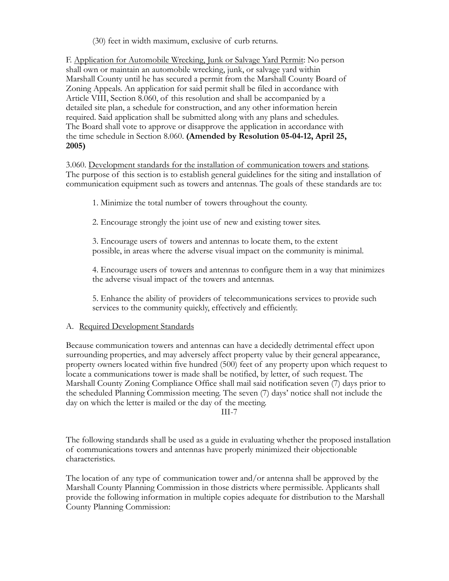(30) feet in width maximum, exclusive of curb returns.

F. Application for Automobile Wrecking, Junk or Salvage Yard Permit: No person shall own or maintain an automobile wrecking, junk, or salvage yard within Marshall County until he has secured a permit from the Marshall County Board of Zoning Appeals. An application for said permit shall be filed in accordance with Article VIII, Section 8.060, of this resolution and shall be accompanied by a detailed site plan, a schedule for construction, and any other information herein required. Said application shall be submitted along with any plans and schedules. The Board shall vote to approve or disapprove the application in accordance with the time schedule in Section 8.060. **(Amended by Resolution 05-04-12, April 25, 2005)**

3.060. Development standards for the installation of communication towers and stations. The purpose of this section is to establish general guidelines for the siting and installation of communication equipment such as towers and antennas. The goals of these standards are to:

1. Minimize the total number of towers throughout the county.

2. Encourage strongly the joint use of new and existing tower sites.

3. Encourage users of towers and antennas to locate them, to the extent possible, in areas where the adverse visual impact on the community is minimal.

4. Encourage users of towers and antennas to configure them in a way that minimizes the adverse visual impact of the towers and antennas.

5. Enhance the ability of providers of telecommunications services to provide such services to the community quickly, effectively and efficiently.

#### A. Required Development Standards

Because communication towers and antennas can have a decidedly detrimental effect upon surrounding properties, and may adversely affect property value by their general appearance, property owners located within five hundred (500) feet of any property upon which request to locate a communications tower is made shall be notified, by letter, of such request. The Marshall County Zoning Compliance Office shall mail said notification seven (7) days prior to the scheduled Planning Commission meeting. The seven (7) days' notice shall not include the day on which the letter is mailed or the day of the meeting.

III-7

The following standards shall be used as a guide in evaluating whether the proposed installation of communications towers and antennas have properly minimized their objectionable characteristics.

The location of any type of communication tower and/or antenna shall be approved by the Marshall County Planning Commission in those districts where permissible. Applicants shall provide the following information in multiple copies adequate for distribution to the Marshall County Planning Commission: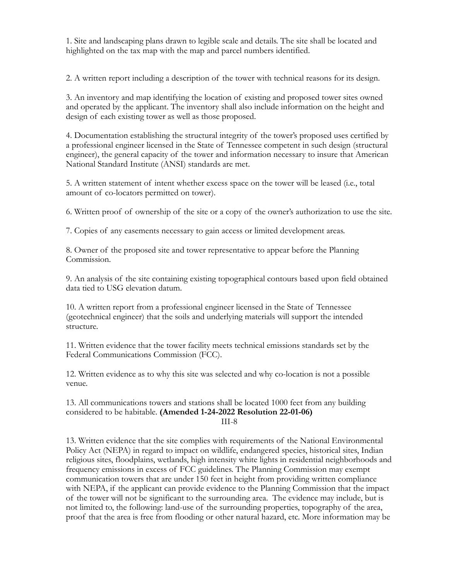1. Site and landscaping plans drawn to legible scale and details. The site shall be located and highlighted on the tax map with the map and parcel numbers identified.

2. A written report including a description of the tower with technical reasons for its design.

3. An inventory and map identifying the location of existing and proposed tower sites owned and operated by the applicant. The inventory shall also include information on the height and design of each existing tower as well as those proposed.

4. Documentation establishing the structural integrity of the tower's proposed uses certified by a professional engineer licensed in the State of Tennessee competent in such design (structural engineer), the general capacity of the tower and information necessary to insure that American National Standard Institute (ANSI) standards are met.

5. A written statement of intent whether excess space on the tower will be leased (i.e., total amount of co-locators permitted on tower).

6. Written proof of ownership of the site or a copy of the owner's authorization to use the site.

7. Copies of any easements necessary to gain access or limited development areas.

8. Owner of the proposed site and tower representative to appear before the Planning Commission.

9. An analysis of the site containing existing topographical contours based upon field obtained data tied to USG elevation datum.

10. A written report from a professional engineer licensed in the State of Tennessee (geotechnical engineer) that the soils and underlying materials will support the intended structure.

11. Written evidence that the tower facility meets technical emissions standards set by the Federal Communications Commission (FCC).

12. Written evidence as to why this site was selected and why co-location is not a possible venue.

13. All communications towers and stations shall be located 1000 feet from any building considered to be habitable. **(Amended 1-24-2022 Resolution 22-01-06)** III-8

13. Written evidence that the site complies with requirements of the National Environmental Policy Act (NEPA) in regard to impact on wildlife, endangered species, historical sites, Indian religious sites, floodplains, wetlands, high intensity white lights in residential neighborhoods and frequency emissions in excess of FCC guidelines. The Planning Commission may exempt communication towers that are under 150 feet in height from providing written compliance with NEPA, if the applicant can provide evidence to the Planning Commission that the impact of the tower will not be significant to the surrounding area. The evidence may include, but is not limited to, the following: land-use of the surrounding properties, topography of the area, proof that the area is free from flooding or other natural hazard, etc. More information may be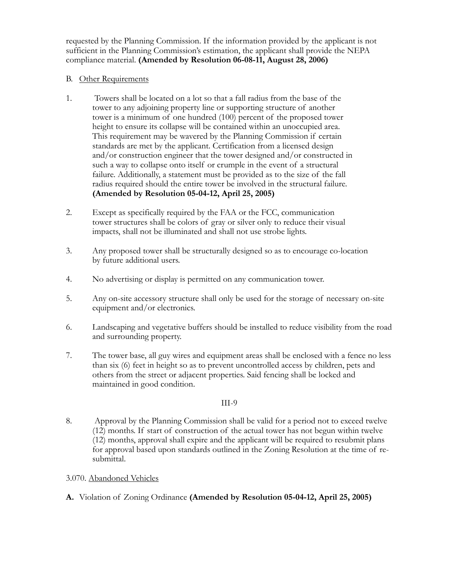requested by the Planning Commission. If the information provided by the applicant is not sufficient in the Planning Commission's estimation, the applicant shall provide the NEPA compliance material. **(Amended by Resolution 06-08-11, August 28, 2006)**

### B. Other Requirements

- 1. Towers shall be located on a lot so that a fall radius from the base of the tower to any adjoining property line or supporting structure of another tower is a minimum of one hundred (100) percent of the proposed tower height to ensure its collapse will be contained within an unoccupied area. This requirement may be wavered by the Planning Commission if certain standards are met by the applicant. Certification from a licensed design and/or construction engineer that the tower designed and/or constructed in such a way to collapse onto itself or crumple in the event of a structural failure. Additionally, a statement must be provided as to the size of the fall radius required should the entire tower be involved in the structural failure. **(Amended by Resolution 05-04-12, April 25, 2005)**
- 2. Except as specifically required by the FAA or the FCC, communication tower structures shall be colors of gray or silver only to reduce their visual impacts, shall not be illuminated and shall not use strobe lights.
- 3. Any proposed tower shall be structurally designed so as to encourage co-location by future additional users.
- 4. No advertising or display is permitted on any communication tower.
- 5. Any on-site accessory structure shall only be used for the storage of necessary on-site equipment and/or electronics.
- 6. Landscaping and vegetative buffers should be installed to reduce visibility from the road and surrounding property.
- 7. The tower base, all guy wires and equipment areas shall be enclosed with a fence no less than six (6) feet in height so as to prevent uncontrolled access by children, pets and others from the street or adjacent properties. Said fencing shall be locked and maintained in good condition.

#### III-9

8. Approval by the Planning Commission shall be valid for a period not to exceed twelve (12) months. If start of construction of the actual tower has not begun within twelve (12) months, approval shall expire and the applicant will be required to resubmit plans for approval based upon standards outlined in the Zoning Resolution at the time of resubmittal.

## 3.070. Abandoned Vehicles

**A.** Violation of Zoning Ordinance **(Amended by Resolution 05-04-12, April 25, 2005)**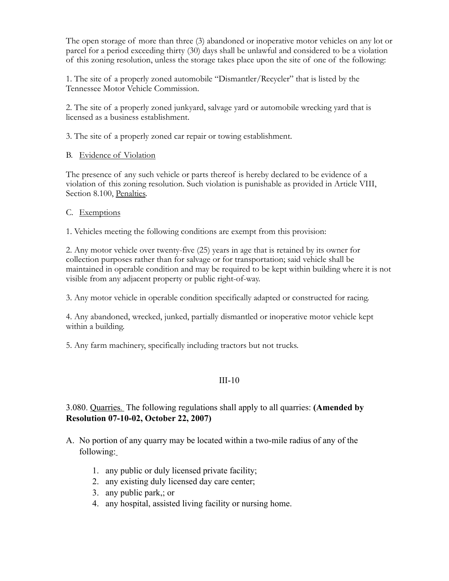The open storage of more than three (3) abandoned or inoperative motor vehicles on any lot or parcel for a period exceeding thirty (30) days shall be unlawful and considered to be a violation of this zoning resolution, unless the storage takes place upon the site of one of the following:

1. The site of a properly zoned automobile "Dismantler/Recycler" that is listed by the Tennessee Motor Vehicle Commission.

2. The site of a properly zoned junkyard, salvage yard or automobile wrecking yard that is licensed as a business establishment.

3. The site of a properly zoned car repair or towing establishment.

#### B. Evidence of Violation

The presence of any such vehicle or parts thereof is hereby declared to be evidence of a violation of this zoning resolution. Such violation is punishable as provided in Article VIII, Section 8.100, Penalties.

#### C. Exemptions

1. Vehicles meeting the following conditions are exempt from this provision:

2. Any motor vehicle over twenty-five (25) years in age that is retained by its owner for collection purposes rather than for salvage or for transportation; said vehicle shall be maintained in operable condition and may be required to be kept within building where it is not visible from any adjacent property or public right-of-way.

3. Any motor vehicle in operable condition specifically adapted or constructed for racing.

4. Any abandoned, wrecked, junked, partially dismantled or inoperative motor vehicle kept within a building.

5. Any farm machinery, specifically including tractors but not trucks.

# III-10

# 3.080. Quarries. The following regulations shall apply to all quarries: **(Amended by Resolution 07-10-02, October 22, 2007)**

- A. No portion of any quarry may be located within a two-mile radius of any of the following:
	- 1. any public or duly licensed private facility;
	- 2. any existing duly licensed day care center;
	- 3. any public park,; or
	- 4. any hospital, assisted living facility or nursing home.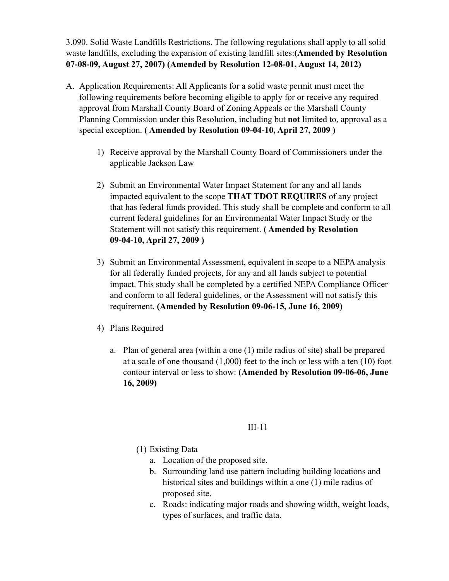3.090. Solid Waste Landfills Restrictions. The following regulations shall apply to all solid waste landfills, excluding the expansion of existing landfill sites:**(Amended by Resolution 07-08-09, August 27, 2007) (Amended by Resolution 12-08-01, August 14, 2012)**

- A. Application Requirements: All Applicants for a solid waste permit must meet the following requirements before becoming eligible to apply for or receive any required approval from Marshall County Board of Zoning Appeals or the Marshall County Planning Commission under this Resolution, including but **not** limited to, approval as a special exception. **( Amended by Resolution 09-04-10, April 27, 2009 )**
	- 1) Receive approval by the Marshall County Board of Commissioners under the applicable Jackson Law
	- 2) Submit an Environmental Water Impact Statement for any and all lands impacted equivalent to the scope **THAT TDOT REQUIRES** of any project that has federal funds provided. This study shall be complete and conform to all current federal guidelines for an Environmental Water Impact Study or the Statement will not satisfy this requirement. **( Amended by Resolution 09-04-10, April 27, 2009 )**
	- 3) Submit an Environmental Assessment, equivalent in scope to a NEPA analysis for all federally funded projects, for any and all lands subject to potential impact. This study shall be completed by a certified NEPA Compliance Officer and conform to all federal guidelines, or the Assessment will not satisfy this requirement. **(Amended by Resolution 09-06-15, June 16, 2009)**
	- 4) Plans Required
		- a. Plan of general area (within a one (1) mile radius of site) shall be prepared at a scale of one thousand (1,000) feet to the inch or less with a ten (10) foot contour interval or less to show: **(Amended by Resolution 09-06-06, June 16, 2009)**

- (1) Existing Data
	- a. Location of the proposed site.
	- b. Surrounding land use pattern including building locations and historical sites and buildings within a one (1) mile radius of proposed site.
	- c. Roads: indicating major roads and showing width, weight loads, types of surfaces, and traffic data.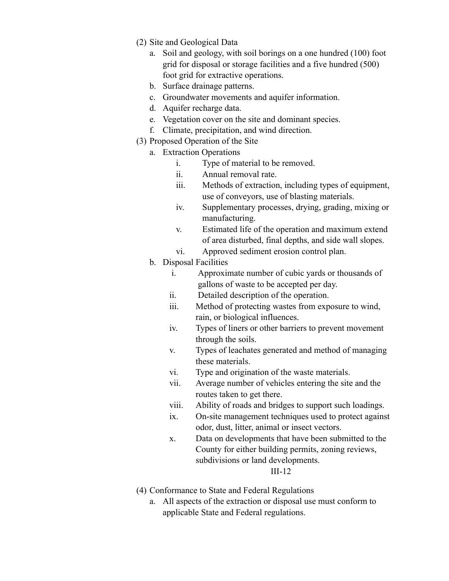- (2) Site and Geological Data
	- a. Soil and geology, with soil borings on a one hundred (100) foot grid for disposal or storage facilities and a five hundred (500) foot grid for extractive operations.
	- b. Surface drainage patterns.
	- c. Groundwater movements and aquifer information.
	- d. Aquifer recharge data.
	- e. Vegetation cover on the site and dominant species.
	- f. Climate, precipitation, and wind direction.
- (3) Proposed Operation of the Site
	- a. Extraction Operations
		- i. Type of material to be removed.
		- ii. Annual removal rate.
		- iii. Methods of extraction, including types of equipment, use of conveyors, use of blasting materials.
		- iv. Supplementary processes, drying, grading, mixing or manufacturing.
		- v. Estimated life of the operation and maximum extend of area disturbed, final depths, and side wall slopes.
		- vi. Approved sediment erosion control plan.
	- b. Disposal Facilities
		- i. Approximate number of cubic yards or thousands of gallons of waste to be accepted per day.
		- ii. Detailed description of the operation.
		- iii. Method of protecting wastes from exposure to wind, rain, or biological influences.
		- iv. Types of liners or other barriers to prevent movement through the soils.
		- v. Types of leachates generated and method of managing these materials.
		- vi. Type and origination of the waste materials.
		- vii. Average number of vehicles entering the site and the routes taken to get there.
		- viii. Ability of roads and bridges to support such loadings.
		- ix. On-site management techniques used to protect against odor, dust, litter, animal or insect vectors.
		- x. Data on developments that have been submitted to the County for either building permits, zoning reviews, subdivisions or land developments.

- (4) Conformance to State and Federal Regulations
	- a. All aspects of the extraction or disposal use must conform to applicable State and Federal regulations.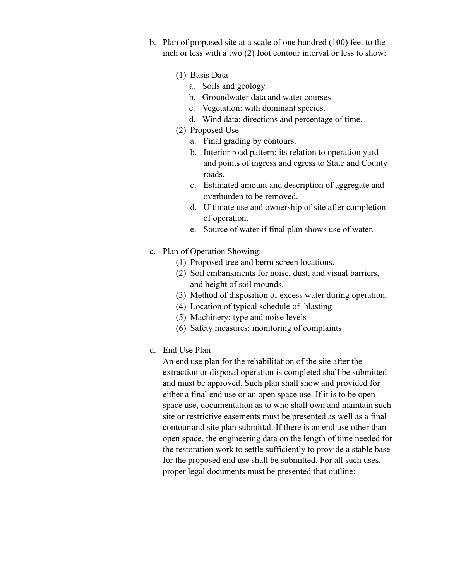- b. Plan of proposed site at a scale of one hundred (100) feet to the inch or less with a two (2) foot contour interval or less to show:
	- (1) Basis Data
		- a. Soils and geology.
		- b. Groundwater data and water courses
		- c. Vegetation: with dominant species.
		- d. Wind data: directions and percentage of time.
	- (2) Proposed Use
		- a. Final grading by contours.
		- b. Interior road pattern: its relation to operation yard and points of ingress and egress to State and County roads.
		- c. Estimated amount and description of aggregate and overburden to be removed.
		- d. Ultimate use and ownership of site after completion of operation.
		- e. Source of water if final plan shows use of water.
- c. Plan of Operation Showing:
	- (1) Proposed tree and berm screen locations.
	- (2) Soil embankments for noise, dust, and visual barriers, and height of soil mounds.
	- (3) Method of disposition of excess water during operation.
	- (4) Location of typical schedule of blasting
	- (5) Machinery: type and noise levels
	- (6) Safety measures: monitoring of complaints
- d. End Use Plan

An end use plan for the rehabilitation of the site after the extraction or disposal operation is completed shall be submitted and must be approved. Such plan shall show and provided for either a final end use or an open space use. If it is to be open space use, documentation as to who shall own and maintain such site or restrictive easements must be presented as well as a final contour and site plan submittal. If there is an end use other than open space, the engineering data on the length of time needed for the restoration work to settle sufficiently to provide a stable base for the proposed end use shall be submitted. For all such uses, proper legal documents must be presented that outline: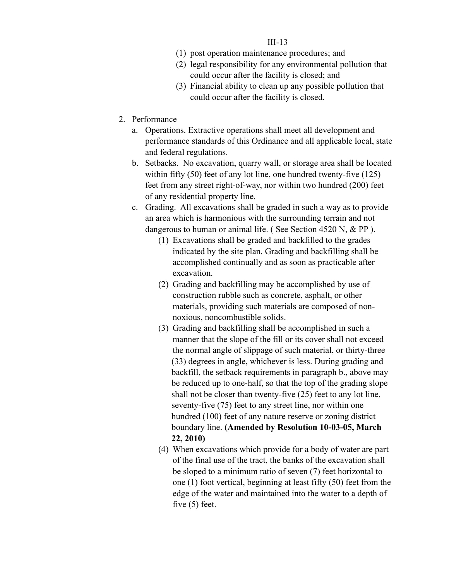- (1) post operation maintenance procedures; and
- (2) legal responsibility for any environmental pollution that could occur after the facility is closed; and
- (3) Financial ability to clean up any possible pollution that could occur after the facility is closed.
- 2. Performance
	- a. Operations. Extractive operations shall meet all development and performance standards of this Ordinance and all applicable local, state and federal regulations.
	- b. Setbacks. No excavation, quarry wall, or storage area shall be located within fifty (50) feet of any lot line, one hundred twenty-five (125) feet from any street right-of-way, nor within two hundred (200) feet of any residential property line.
	- c. Grading. All excavations shall be graded in such a way as to provide an area which is harmonious with the surrounding terrain and not dangerous to human or animal life. (See Section 4520 N, & PP).
		- (1) Excavations shall be graded and backfilled to the grades indicated by the site plan. Grading and backfilling shall be accomplished continually and as soon as practicable after excavation.
		- (2) Grading and backfilling may be accomplished by use of construction rubble such as concrete, asphalt, or other materials, providing such materials are composed of nonnoxious, noncombustible solids.
		- (3) Grading and backfilling shall be accomplished in such a manner that the slope of the fill or its cover shall not exceed the normal angle of slippage of such material, or thirty-three (33) degrees in angle, whichever is less. During grading and backfill, the setback requirements in paragraph b., above may be reduced up to one-half, so that the top of the grading slope shall not be closer than twenty-five (25) feet to any lot line, seventy-five (75) feet to any street line, nor within one hundred (100) feet of any nature reserve or zoning district boundary line. **(Amended by Resolution 10-03-05, March 22, 2010)**
		- (4) When excavations which provide for a body of water are part of the final use of the tract, the banks of the excavation shall be sloped to a minimum ratio of seven (7) feet horizontal to one (1) foot vertical, beginning at least fifty (50) feet from the edge of the water and maintained into the water to a depth of five (5) feet.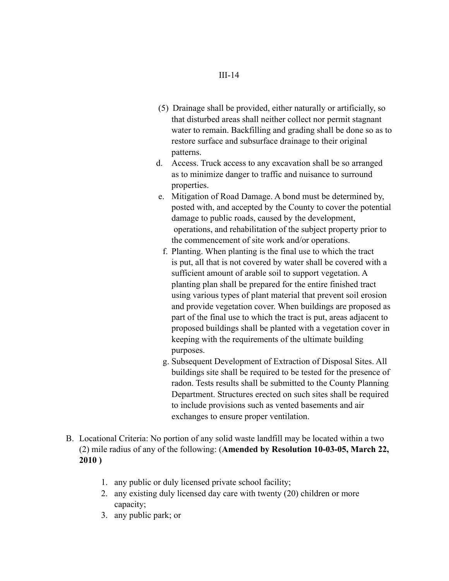- (5) Drainage shall be provided, either naturally or artificially, so that disturbed areas shall neither collect nor permit stagnant water to remain. Backfilling and grading shall be done so as to restore surface and subsurface drainage to their original patterns.
- d. Access. Truck access to any excavation shall be so arranged as to minimize danger to traffic and nuisance to surround properties.
- e. Mitigation of Road Damage. A bond must be determined by, posted with, and accepted by the County to cover the potential damage to public roads, caused by the development, operations, and rehabilitation of the subject property prior to the commencement of site work and/or operations.
- f. Planting. When planting is the final use to which the tract is put, all that is not covered by water shall be covered with a sufficient amount of arable soil to support vegetation. A planting plan shall be prepared for the entire finished tract using various types of plant material that prevent soil erosion and provide vegetation cover. When buildings are proposed as part of the final use to which the tract is put, areas adjacent to proposed buildings shall be planted with a vegetation cover in keeping with the requirements of the ultimate building purposes.
- g. Subsequent Development of Extraction of Disposal Sites. All buildings site shall be required to be tested for the presence of radon. Tests results shall be submitted to the County Planning Department. Structures erected on such sites shall be required to include provisions such as vented basements and air exchanges to ensure proper ventilation.
- B. Locational Criteria: No portion of any solid waste landfill may be located within a two (2) mile radius of any of the following: (**Amended by Resolution 10-03-05, March 22, 2010 )**
	- 1. any public or duly licensed private school facility;
	- 2. any existing duly licensed day care with twenty (20) children or more capacity;
	- 3. any public park; or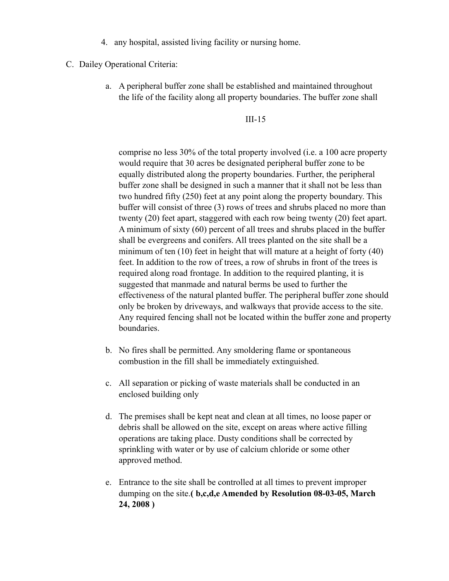- 4. any hospital, assisted living facility or nursing home.
- C. Dailey Operational Criteria:
	- a. A peripheral buffer zone shall be established and maintained throughout the life of the facility along all property boundaries. The buffer zone shall

III-15

comprise no less 30% of the total property involved (i.e. a 100 acre property would require that 30 acres be designated peripheral buffer zone to be equally distributed along the property boundaries. Further, the peripheral buffer zone shall be designed in such a manner that it shall not be less than two hundred fifty (250) feet at any point along the property boundary. This buffer will consist of three (3) rows of trees and shrubs placed no more than twenty (20) feet apart, staggered with each row being twenty (20) feet apart. A minimum of sixty (60) percent of all trees and shrubs placed in the buffer shall be evergreens and conifers. All trees planted on the site shall be a minimum of ten (10) feet in height that will mature at a height of forty (40) feet. In addition to the row of trees, a row of shrubs in front of the trees is required along road frontage. In addition to the required planting, it is suggested that manmade and natural berms be used to further the effectiveness of the natural planted buffer. The peripheral buffer zone should only be broken by driveways, and walkways that provide access to the site. Any required fencing shall not be located within the buffer zone and property boundaries.

- b. No fires shall be permitted. Any smoldering flame or spontaneous combustion in the fill shall be immediately extinguished.
- c. All separation or picking of waste materials shall be conducted in an enclosed building only
- d. The premises shall be kept neat and clean at all times, no loose paper or debris shall be allowed on the site, except on areas where active filling operations are taking place. Dusty conditions shall be corrected by sprinkling with water or by use of calcium chloride or some other approved method.
- e. Entrance to the site shall be controlled at all times to prevent improper dumping on the site.**( b,c,d,e Amended by Resolution 08-03-05, March 24, 2008 )**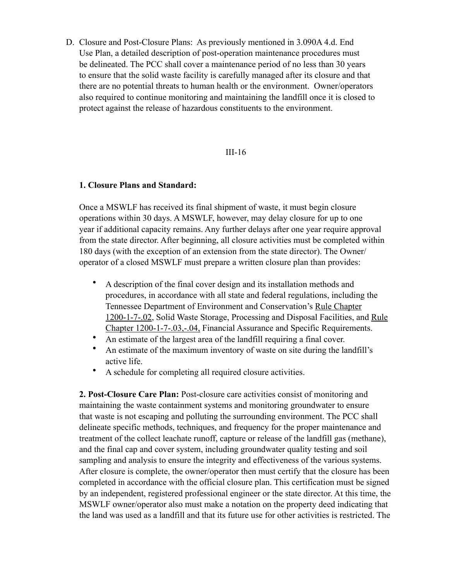D. Closure and Post-Closure Plans: As previously mentioned in 3.090A 4.d. End Use Plan, a detailed description of post-operation maintenance procedures must be delineated. The PCC shall cover a maintenance period of no less than 30 years to ensure that the solid waste facility is carefully managed after its closure and that there are no potential threats to human health or the environment. Owner/operators also required to continue monitoring and maintaining the landfill once it is closed to protect against the release of hazardous constituents to the environment.

#### III-16

#### **1. Closure Plans and Standard:**

Once a MSWLF has received its final shipment of waste, it must begin closure operations within 30 days. A MSWLF, however, may delay closure for up to one year if additional capacity remains. Any further delays after one year require approval from the state director. After beginning, all closure activities must be completed within 180 days (with the exception of an extension from the state director). The Owner/ operator of a closed MSWLF must prepare a written closure plan than provides:

- A description of the final cover design and its installation methods and procedures, in accordance with all state and federal regulations, including the Tennessee Department of Environment and Conservation's Rule Chapter 1200-1-7-.02, Solid Waste Storage, Processing and Disposal Facilities, and Rule Chapter 1200-1-7-.03,-.04, Financial Assurance and Specific Requirements.
- An estimate of the largest area of the landfill requiring a final cover.
- An estimate of the maximum inventory of waste on site during the landfill's active life.
- A schedule for completing all required closure activities.

**2. Post-Closure Care Plan:** Post-closure care activities consist of monitoring and maintaining the waste containment systems and monitoring groundwater to ensure that waste is not escaping and polluting the surrounding environment. The PCC shall delineate specific methods, techniques, and frequency for the proper maintenance and treatment of the collect leachate runoff, capture or release of the landfill gas (methane), and the final cap and cover system, including groundwater quality testing and soil sampling and analysis to ensure the integrity and effectiveness of the various systems. After closure is complete, the owner/operator then must certify that the closure has been completed in accordance with the official closure plan. This certification must be signed by an independent, registered professional engineer or the state director. At this time, the MSWLF owner/operator also must make a notation on the property deed indicating that the land was used as a landfill and that its future use for other activities is restricted. The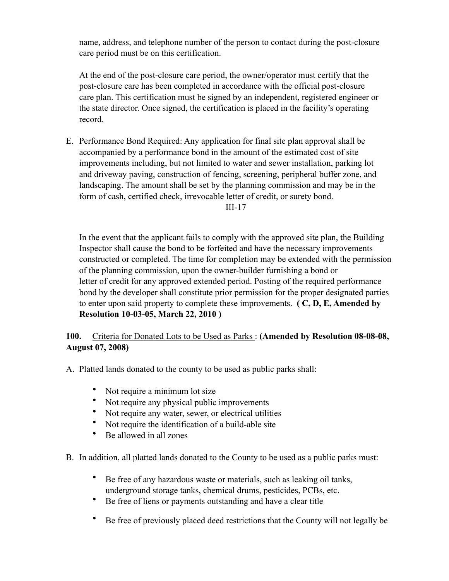name, address, and telephone number of the person to contact during the post-closure care period must be on this certification.

At the end of the post-closure care period, the owner/operator must certify that the post-closure care has been completed in accordance with the official post-closure care plan. This certification must be signed by an independent, registered engineer or the state director. Once signed, the certification is placed in the facility's operating record.

E. Performance Bond Required: Any application for final site plan approval shall be accompanied by a performance bond in the amount of the estimated cost of site improvements including, but not limited to water and sewer installation, parking lot and driveway paving, construction of fencing, screening, peripheral buffer zone, and landscaping. The amount shall be set by the planning commission and may be in the form of cash, certified check, irrevocable letter of credit, or surety bond.

#### III-17

In the event that the applicant fails to comply with the approved site plan, the Building Inspector shall cause the bond to be forfeited and have the necessary improvements constructed or completed. The time for completion may be extended with the permission of the planning commission, upon the owner-builder furnishing a bond or letter of credit for any approved extended period. Posting of the required performance bond by the developer shall constitute prior permission for the proper designated parties to enter upon said property to complete these improvements. **( C, D, E, Amended by Resolution 10-03-05, March 22, 2010 )**

# **100.** Criteria for Donated Lots to be Used as Parks : **(Amended by Resolution 08-08-08, August 07, 2008)**

A. Platted lands donated to the county to be used as public parks shall:

- Not require a minimum lot size
- Not require any physical public improvements
- Not require any water, sewer, or electrical utilities
- Not require the identification of a build-able site
- Be allowed in all zones

B. In addition, all platted lands donated to the County to be used as a public parks must:

- Be free of any hazardous waste or materials, such as leaking oil tanks, underground storage tanks, chemical drums, pesticides, PCBs, etc.
- Be free of liens or payments outstanding and have a clear title
- Be free of previously placed deed restrictions that the County will not legally be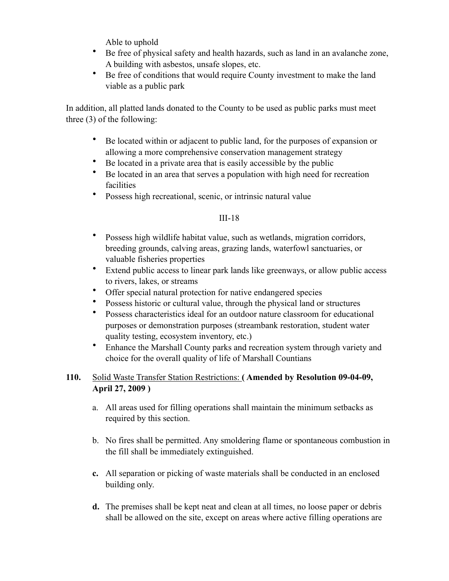Able to uphold

- Be free of physical safety and health hazards, such as land in an avalanche zone, A building with asbestos, unsafe slopes, etc.
- Be free of conditions that would require County investment to make the land viable as a public park

In addition, all platted lands donated to the County to be used as public parks must meet three (3) of the following:

- Be located within or adjacent to public land, for the purposes of expansion or allowing a more comprehensive conservation management strategy
- Be located in a private area that is easily accessible by the public
- Be located in an area that serves a population with high need for recreation facilities
- Possess high recreational, scenic, or intrinsic natural value

# III-18

- Possess high wildlife habitat value, such as wetlands, migration corridors, breeding grounds, calving areas, grazing lands, waterfowl sanctuaries, or valuable fisheries properties
- Extend public access to linear park lands like greenways, or allow public access to rivers, lakes, or streams
- Offer special natural protection for native endangered species
- Possess historic or cultural value, through the physical land or structures
- Possess characteristics ideal for an outdoor nature classroom for educational purposes or demonstration purposes (streambank restoration, student water quality testing, ecosystem inventory, etc.)
- Enhance the Marshall County parks and recreation system through variety and choice for the overall quality of life of Marshall Countians

# **110.** Solid Waste Transfer Station Restrictions: **( Amended by Resolution 09-04-09, April 27, 2009 )**

- a. All areas used for filling operations shall maintain the minimum setbacks as required by this section.
- b. No fires shall be permitted. Any smoldering flame or spontaneous combustion in the fill shall be immediately extinguished.
- **c.** All separation or picking of waste materials shall be conducted in an enclosed building only.
- **d.** The premises shall be kept neat and clean at all times, no loose paper or debris shall be allowed on the site, except on areas where active filling operations are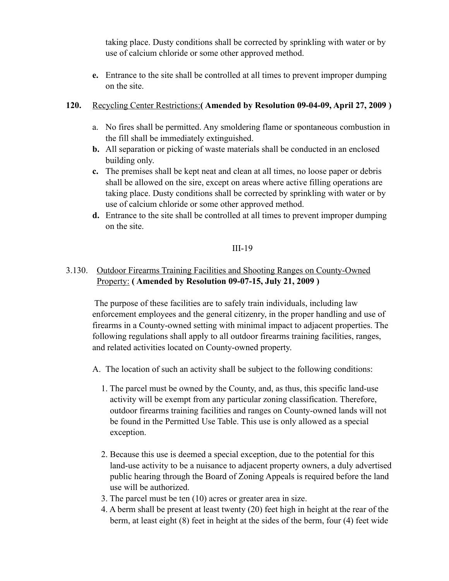taking place. Dusty conditions shall be corrected by sprinkling with water or by use of calcium chloride or some other approved method.

**e.** Entrance to the site shall be controlled at all times to prevent improper dumping on the site.

## **120.** Recycling Center Restrictions:**( Amended by Resolution 09-04-09, April 27, 2009 )**

- a. No fires shall be permitted. Any smoldering flame or spontaneous combustion in the fill shall be immediately extinguished.
- **b.** All separation or picking of waste materials shall be conducted in an enclosed building only.
- **c.** The premises shall be kept neat and clean at all times, no loose paper or debris shall be allowed on the sire, except on areas where active filling operations are taking place. Dusty conditions shall be corrected by sprinkling with water or by use of calcium chloride or some other approved method.
- **d.** Entrance to the site shall be controlled at all times to prevent improper dumping on the site.

### III-19

# 3.130. Outdoor Firearms Training Facilities and Shooting Ranges on County-Owned Property: **( Amended by Resolution 09-07-15, July 21, 2009 )**

 The purpose of these facilities are to safely train individuals, including law enforcement employees and the general citizenry, in the proper handling and use of firearms in a County-owned setting with minimal impact to adjacent properties. The following regulations shall apply to all outdoor firearms training facilities, ranges, and related activities located on County-owned property.

- A. The location of such an activity shall be subject to the following conditions:
	- 1. The parcel must be owned by the County, and, as thus, this specific land-use activity will be exempt from any particular zoning classification. Therefore, outdoor firearms training facilities and ranges on County-owned lands will not be found in the Permitted Use Table. This use is only allowed as a special exception.
	- 2. Because this use is deemed a special exception, due to the potential for this land-use activity to be a nuisance to adjacent property owners, a duly advertised public hearing through the Board of Zoning Appeals is required before the land use will be authorized.
	- 3. The parcel must be ten (10) acres or greater area in size.
	- 4. A berm shall be present at least twenty (20) feet high in height at the rear of the berm, at least eight (8) feet in height at the sides of the berm, four (4) feet wide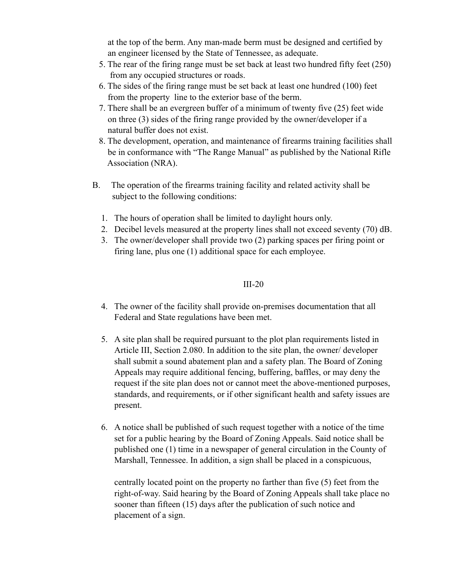at the top of the berm. Any man-made berm must be designed and certified by an engineer licensed by the State of Tennessee, as adequate.

- 5. The rear of the firing range must be set back at least two hundred fifty feet (250) from any occupied structures or roads.
- 6. The sides of the firing range must be set back at least one hundred (100) feet from the property line to the exterior base of the berm.
- 7. There shall be an evergreen buffer of a minimum of twenty five (25) feet wide on three (3) sides of the firing range provided by the owner/developer if a natural buffer does not exist.
- 8. The development, operation, and maintenance of firearms training facilities shall be in conformance with "The Range Manual" as published by the National Rifle Association (NRA).
- B. The operation of the firearms training facility and related activity shall be subject to the following conditions:
	- 1. The hours of operation shall be limited to daylight hours only.
	- 2. Decibel levels measured at the property lines shall not exceed seventy (70) dB.
	- 3. The owner/developer shall provide two (2) parking spaces per firing point or firing lane, plus one (1) additional space for each employee.

# III-20

- 4. The owner of the facility shall provide on-premises documentation that all Federal and State regulations have been met.
- 5. A site plan shall be required pursuant to the plot plan requirements listed in Article III, Section 2.080. In addition to the site plan, the owner/ developer shall submit a sound abatement plan and a safety plan. The Board of Zoning Appeals may require additional fencing, buffering, baffles, or may deny the request if the site plan does not or cannot meet the above-mentioned purposes, standards, and requirements, or if other significant health and safety issues are present.
- 6. A notice shall be published of such request together with a notice of the time set for a public hearing by the Board of Zoning Appeals. Said notice shall be published one (1) time in a newspaper of general circulation in the County of Marshall, Tennessee. In addition, a sign shall be placed in a conspicuous,

centrally located point on the property no farther than five (5) feet from the right-of-way. Said hearing by the Board of Zoning Appeals shall take place no sooner than fifteen (15) days after the publication of such notice and placement of a sign.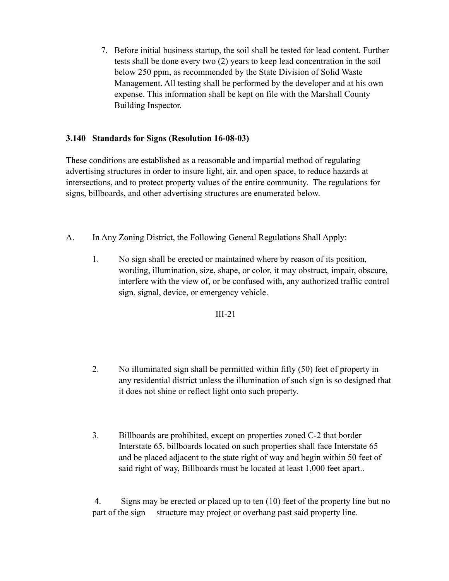7. Before initial business startup, the soil shall be tested for lead content. Further tests shall be done every two (2) years to keep lead concentration in the soil below 250 ppm, as recommended by the State Division of Solid Waste Management. All testing shall be performed by the developer and at his own expense. This information shall be kept on file with the Marshall County Building Inspector.

# **3.140 Standards for Signs (Resolution 16-08-03)**

These conditions are established as a reasonable and impartial method of regulating advertising structures in order to insure light, air, and open space, to reduce hazards at intersections, and to protect property values of the entire community. The regulations for signs, billboards, and other advertising structures are enumerated below.

# A. In Any Zoning District, the Following General Regulations Shall Apply:

1. No sign shall be erected or maintained where by reason of its position, wording, illumination, size, shape, or color, it may obstruct, impair, obscure, interfere with the view of, or be confused with, any authorized traffic control sign, signal, device, or emergency vehicle.

## III-21

- 2. No illuminated sign shall be permitted within fifty (50) feet of property in any residential district unless the illumination of such sign is so designed that it does not shine or reflect light onto such property.
- 3. Billboards are prohibited, except on properties zoned C-2 that border Interstate 65, billboards located on such properties shall face Interstate 65 and be placed adjacent to the state right of way and begin within 50 feet of said right of way, Billboards must be located at least 1,000 feet apart..

 4. Signs may be erected or placed up to ten (10) feet of the property line but no part of the sign structure may project or overhang past said property line.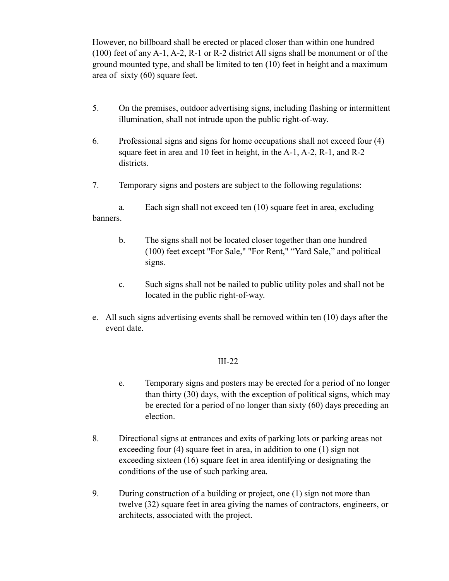However, no billboard shall be erected or placed closer than within one hundred (100) feet of any A-1, A-2, R-1 or R-2 district All signs shall be monument or of the ground mounted type, and shall be limited to ten (10) feet in height and a maximum area of sixty (60) square feet.

- 5. On the premises, outdoor advertising signs, including flashing or intermittent illumination, shall not intrude upon the public right-of-way.
- 6. Professional signs and signs for home occupations shall not exceed four (4) square feet in area and 10 feet in height, in the A-1, A-2, R-1, and R-2 districts.
- 7. Temporary signs and posters are subject to the following regulations:

a. Each sign shall not exceed ten (10) square feet in area, excluding banners.

- b. The signs shall not be located closer together than one hundred (100) feet except "For Sale," "For Rent," "Yard Sale," and political signs.
- c. Such signs shall not be nailed to public utility poles and shall not be located in the public right-of-way.
- e. All such signs advertising events shall be removed within ten (10) days after the event date.

- e. Temporary signs and posters may be erected for a period of no longer than thirty (30) days, with the exception of political signs, which may be erected for a period of no longer than sixty (60) days preceding an election.
- 8. Directional signs at entrances and exits of parking lots or parking areas not exceeding four (4) square feet in area, in addition to one (1) sign not exceeding sixteen (16) square feet in area identifying or designating the conditions of the use of such parking area.
- 9. During construction of a building or project, one (1) sign not more than twelve (32) square feet in area giving the names of contractors, engineers, or architects, associated with the project.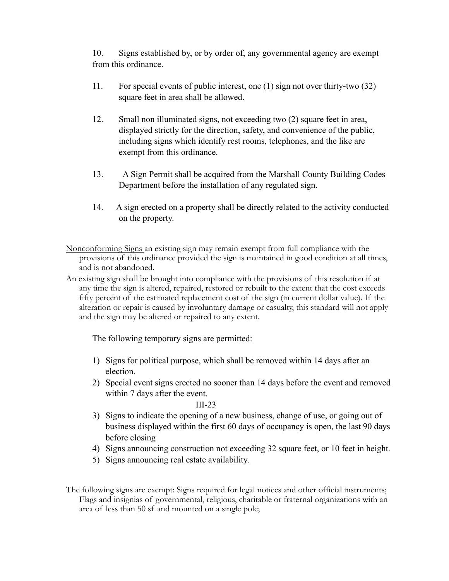10. Signs established by, or by order of, any governmental agency are exempt from this ordinance.

- 11. For special events of public interest, one (1) sign not over thirty-two (32) square feet in area shall be allowed.
- 12. Small non illuminated signs, not exceeding two (2) square feet in area, displayed strictly for the direction, safety, and convenience of the public, including signs which identify rest rooms, telephones, and the like are exempt from this ordinance.
- 13. A Sign Permit shall be acquired from the Marshall County Building Codes Department before the installation of any regulated sign.
- 14. A sign erected on a property shall be directly related to the activity conducted on the property.
- Nonconforming Signs an existing sign may remain exempt from full compliance with the provisions of this ordinance provided the sign is maintained in good condition at all times, and is not abandoned.
- An existing sign shall be brought into compliance with the provisions of this resolution if at any time the sign is altered, repaired, restored or rebuilt to the extent that the cost exceeds fifty percent of the estimated replacement cost of the sign (in current dollar value). If the alteration or repair is caused by involuntary damage or casualty, this standard will not apply and the sign may be altered or repaired to any extent.

The following temporary signs are permitted:

- 1) Signs for political purpose, which shall be removed within 14 days after an election.
- 2) Special event signs erected no sooner than 14 days before the event and removed within 7 days after the event.

#### III-23

- 3) Signs to indicate the opening of a new business, change of use, or going out of business displayed within the first 60 days of occupancy is open, the last 90 days before closing
- 4) Signs announcing construction not exceeding 32 square feet, or 10 feet in height.
- 5) Signs announcing real estate availability.

The following signs are exempt: Signs required for legal notices and other official instruments; Flags and insignias of governmental, religious, charitable or fraternal organizations with an area of less than 50 sf and mounted on a single pole;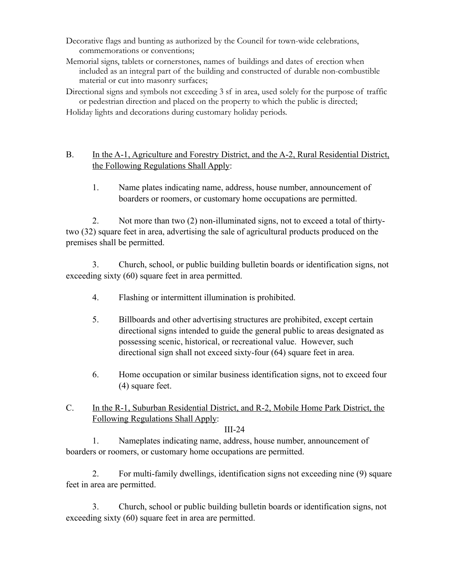- Decorative flags and bunting as authorized by the Council for town-wide celebrations, commemorations or conventions;
- Memorial signs, tablets or cornerstones, names of buildings and dates of erection when included as an integral part of the building and constructed of durable non-combustible material or cut into masonry surfaces;
- Directional signs and symbols not exceeding 3 sf in area, used solely for the purpose of traffic or pedestrian direction and placed on the property to which the public is directed;

Holiday lights and decorations during customary holiday periods.

# B. In the A-1, Agriculture and Forestry District, and the A-2, Rural Residential District, the Following Regulations Shall Apply:

1. Name plates indicating name, address, house number, announcement of boarders or roomers, or customary home occupations are permitted.

2. Not more than two (2) non-illuminated signs, not to exceed a total of thirtytwo (32) square feet in area, advertising the sale of agricultural products produced on the premises shall be permitted.

3. Church, school, or public building bulletin boards or identification signs, not exceeding sixty (60) square feet in area permitted.

- 4. Flashing or intermittent illumination is prohibited.
- 5. Billboards and other advertising structures are prohibited, except certain directional signs intended to guide the general public to areas designated as possessing scenic, historical, or recreational value. However, such directional sign shall not exceed sixty-four (64) square feet in area.
- 6. Home occupation or similar business identification signs, not to exceed four (4) square feet.
- C. In the R-1, Suburban Residential District, and R-2, Mobile Home Park District, the Following Regulations Shall Apply:

## III-24

1. Nameplates indicating name, address, house number, announcement of boarders or roomers, or customary home occupations are permitted.

2. For multi-family dwellings, identification signs not exceeding nine (9) square feet in area are permitted.

3. Church, school or public building bulletin boards or identification signs, not exceeding sixty (60) square feet in area are permitted.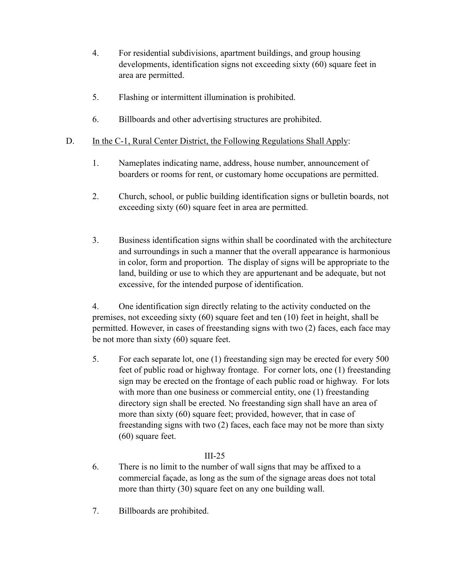- 4. For residential subdivisions, apartment buildings, and group housing developments, identification signs not exceeding sixty (60) square feet in area are permitted.
- 5. Flashing or intermittent illumination is prohibited.
- 6. Billboards and other advertising structures are prohibited.

## D. In the C-1, Rural Center District, the Following Regulations Shall Apply:

- 1. Nameplates indicating name, address, house number, announcement of boarders or rooms for rent, or customary home occupations are permitted.
- 2. Church, school, or public building identification signs or bulletin boards, not exceeding sixty (60) square feet in area are permitted.
- 3. Business identification signs within shall be coordinated with the architecture and surroundings in such a manner that the overall appearance is harmonious in color, form and proportion. The display of signs will be appropriate to the land, building or use to which they are appurtenant and be adequate, but not excessive, for the intended purpose of identification.

4. One identification sign directly relating to the activity conducted on the premises, not exceeding sixty (60) square feet and ten (10) feet in height, shall be permitted. However, in cases of freestanding signs with two (2) faces, each face may be not more than sixty (60) square feet.

5. For each separate lot, one (1) freestanding sign may be erected for every 500 feet of public road or highway frontage. For corner lots, one (1) freestanding sign may be erected on the frontage of each public road or highway. For lots with more than one business or commercial entity, one (1) freestanding directory sign shall be erected. No freestanding sign shall have an area of more than sixty (60) square feet; provided, however, that in case of freestanding signs with two (2) faces, each face may not be more than sixty (60) square feet.

- 6. There is no limit to the number of wall signs that may be affixed to a commercial façade, as long as the sum of the signage areas does not total more than thirty (30) square feet on any one building wall.
- 7. Billboards are prohibited.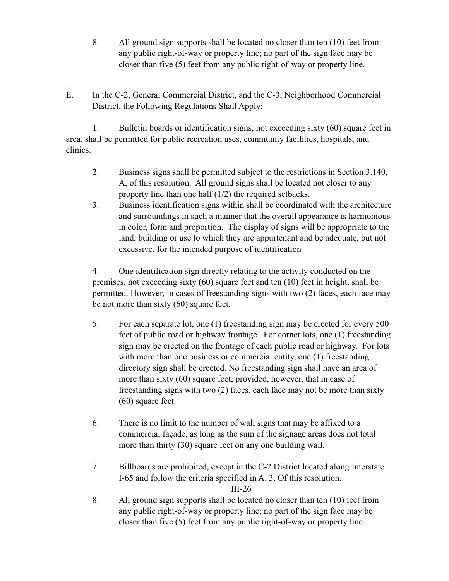8. All ground sign supports shall be located no closer than ten (10) feet from any public right-of-way or property line; no part of the sign face may be closer than five (5) feet from any public right-of-way or property line.

### . E. In the C-2, General Commercial District, and the C-3, Neighborhood Commercial District, the Following Regulations Shall Apply:

1. Bulletin boards or identification signs, not exceeding sixty (60) square feet in area, shall be permitted for public recreation uses, community facilities, hospitals, and clinics.

- 2. Business signs shall be permitted subject to the restrictions in Section 3.140, A, of this resolution. All ground signs shall be located not closer to any property line than one half (1/2) the required setbacks.
- 3. Business identification signs within shall be coordinated with the architecture and surroundings in such a manner that the overall appearance is harmonious in color, form and proportion. The display of signs will be appropriate to the land, building or use to which they are appurtenant and be adequate, but not excessive, for the intended purpose of identification

4. One identification sign directly relating to the activity conducted on the premises, not exceeding sixty (60) square feet and ten (10) feet in height, shall be permitted. However, in cases of freestanding signs with two (2) faces, each face may be not more than sixty (60) square feet.

- 5. For each separate lot, one (1) freestanding sign may be erected for every 500 feet of public road or highway frontage. For corner lots, one (1) freestanding sign may be erected on the frontage of each public road or highway. For lots with more than one business or commercial entity, one (1) freestanding directory sign shall be erected. No freestanding sign shall have an area of more than sixty (60) square feet; provided, however, that in case of freestanding signs with two (2) faces, each face may not be more than sixty (60) square feet.
- 6. There is no limit to the number of wall signs that may be affixed to a commercial façade, as long as the sum of the signage areas does not total more than thirty (30) square feet on any one building wall.
- 7. Billboards are prohibited, except in the C-2 District located along Interstate I-65 and follow the criteria specified in A. 3. Of this resolution.

III-26

8. All ground sign supports shall be located no closer than ten (10) feet from any public right-of-way or property line; no part of the sign face may be closer than five (5) feet from any public right-of-way or property line.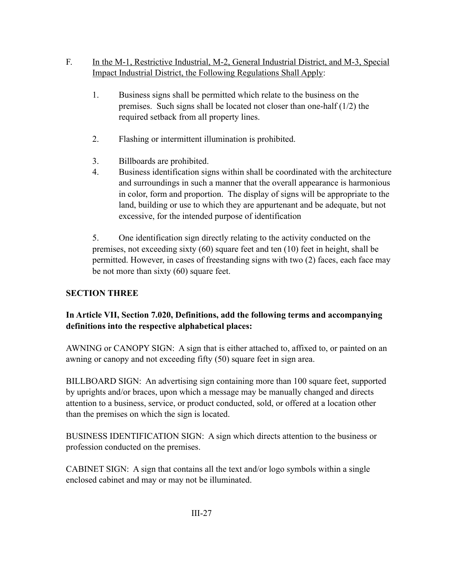# F. In the M-1, Restrictive Industrial, M-2, General Industrial District, and M-3, Special Impact Industrial District, the Following Regulations Shall Apply:

- 1. Business signs shall be permitted which relate to the business on the premises. Such signs shall be located not closer than one-half (1/2) the required setback from all property lines.
- 2. Flashing or intermittent illumination is prohibited.
- 3. Billboards are prohibited.
- 4. Business identification signs within shall be coordinated with the architecture and surroundings in such a manner that the overall appearance is harmonious in color, form and proportion. The display of signs will be appropriate to the land, building or use to which they are appurtenant and be adequate, but not excessive, for the intended purpose of identification

5. One identification sign directly relating to the activity conducted on the premises, not exceeding sixty (60) square feet and ten (10) feet in height, shall be permitted. However, in cases of freestanding signs with two (2) faces, each face may be not more than sixty (60) square feet.

# **SECTION THREE**

# **In Article VII, Section 7.020, Definitions, add the following terms and accompanying definitions into the respective alphabetical places:**

AWNING or CANOPY SIGN: A sign that is either attached to, affixed to, or painted on an awning or canopy and not exceeding fifty (50) square feet in sign area.

BILLBOARD SIGN: An advertising sign containing more than 100 square feet, supported by uprights and/or braces, upon which a message may be manually changed and directs attention to a business, service, or product conducted, sold, or offered at a location other than the premises on which the sign is located.

BUSINESS IDENTIFICATION SIGN: A sign which directs attention to the business or profession conducted on the premises.

CABINET SIGN: A sign that contains all the text and/or logo symbols within a single enclosed cabinet and may or may not be illuminated.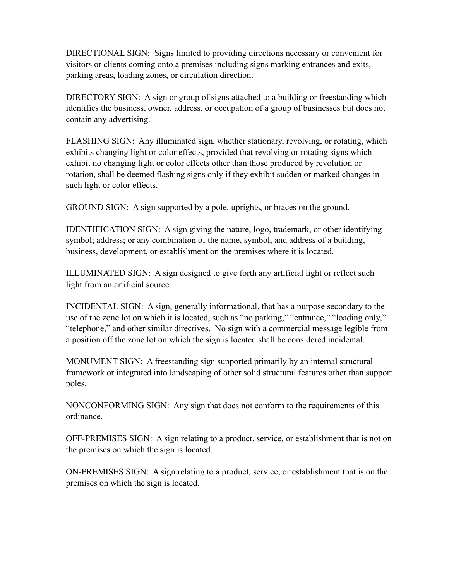DIRECTIONAL SIGN: Signs limited to providing directions necessary or convenient for visitors or clients coming onto a premises including signs marking entrances and exits, parking areas, loading zones, or circulation direction.

DIRECTORY SIGN: A sign or group of signs attached to a building or freestanding which identifies the business, owner, address, or occupation of a group of businesses but does not contain any advertising.

FLASHING SIGN: Any illuminated sign, whether stationary, revolving, or rotating, which exhibits changing light or color effects, provided that revolving or rotating signs which exhibit no changing light or color effects other than those produced by revolution or rotation, shall be deemed flashing signs only if they exhibit sudden or marked changes in such light or color effects.

GROUND SIGN: A sign supported by a pole, uprights, or braces on the ground.

IDENTIFICATION SIGN: A sign giving the nature, logo, trademark, or other identifying symbol; address; or any combination of the name, symbol, and address of a building, business, development, or establishment on the premises where it is located.

ILLUMINATED SIGN: A sign designed to give forth any artificial light or reflect such light from an artificial source.

INCIDENTAL SIGN: A sign, generally informational, that has a purpose secondary to the use of the zone lot on which it is located, such as "no parking," "entrance," "loading only," "telephone," and other similar directives. No sign with a commercial message legible from a position off the zone lot on which the sign is located shall be considered incidental.

MONUMENT SIGN: A freestanding sign supported primarily by an internal structural framework or integrated into landscaping of other solid structural features other than support poles.

NONCONFORMING SIGN: Any sign that does not conform to the requirements of this ordinance.

OFF-PREMISES SIGN: A sign relating to a product, service, or establishment that is not on the premises on which the sign is located.

ON-PREMISES SIGN: A sign relating to a product, service, or establishment that is on the premises on which the sign is located.